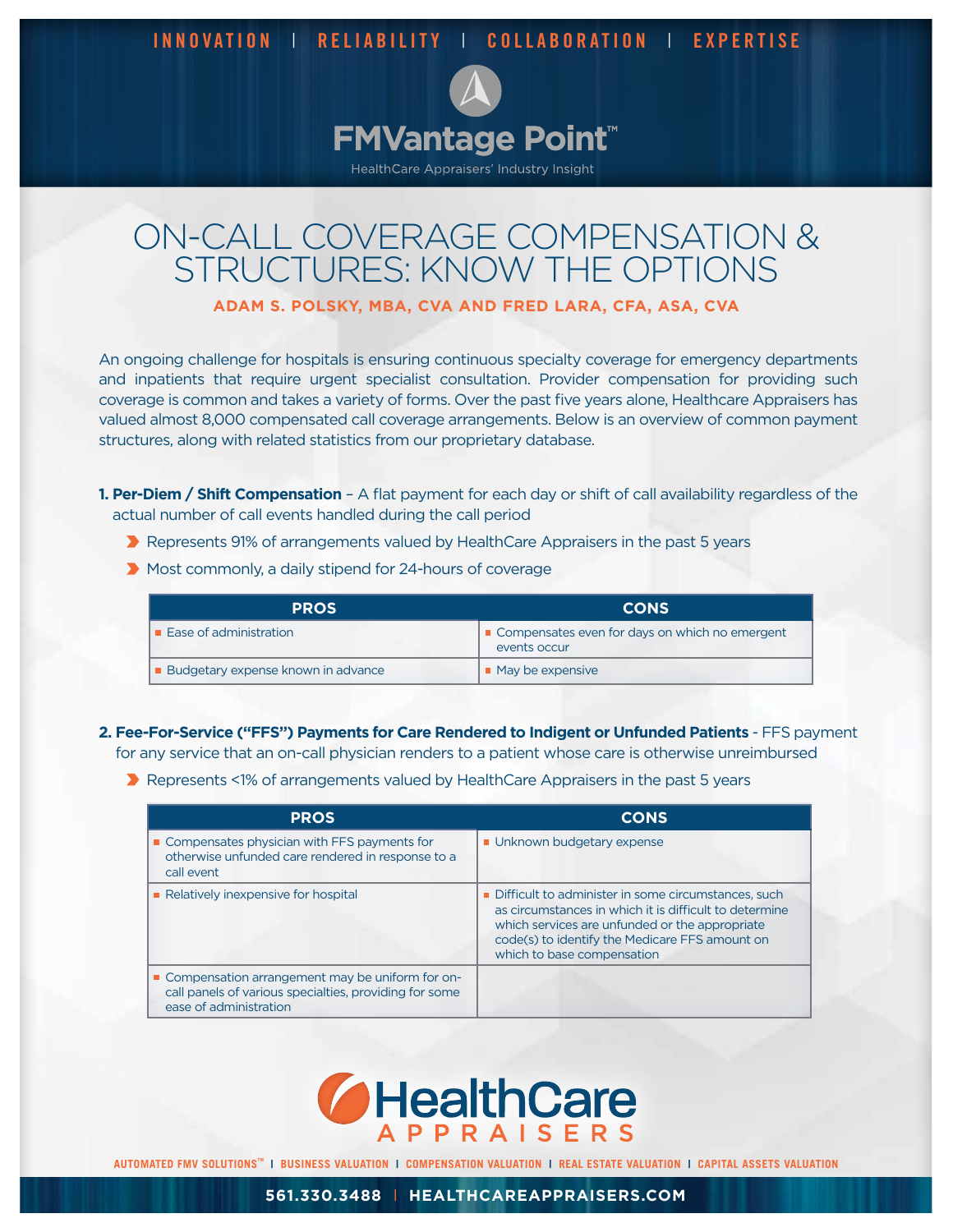**INNOVATION** | **RELIABILITY** | **COLLABORATION** | **EXPERTISE**



## ON-CALL COVERAGE COMPENSATION & STRUCTURES: KNOW THE OPTIONS

**ADAM S. POLSKY, MBA, CVA AND FRED LARA, CFA, ASA, CVA**

An ongoing challenge for hospitals is ensuring continuous specialty coverage for emergency departments and inpatients that require urgent specialist consultation. Provider compensation for providing such coverage is common and takes a variety of forms. Over the past five years alone, Healthcare Appraisers has valued almost 8,000 compensated call coverage arrangements. Below is an overview of common payment structures, along with related statistics from our proprietary database.

**1. Per-Diem / Shift Compensation** – A flat payment for each day or shift of call availability regardless of the actual number of call events handled during the call period

- ▶ Represents 91% of arrangements valued by HealthCare Appraisers in the past 5 years
- Most commonly, a daily stipend for 24-hours of coverage

| <b>PROS</b>                               | <b>CONS</b>                                                    |
|-------------------------------------------|----------------------------------------------------------------|
| $\blacksquare$ Ease of administration     | Compensates even for days on which no emergent<br>events occur |
| <b>Budgetary expense known in advance</b> | $\blacksquare$ May be expensive                                |

**2. Fee-For-Service ("FFS") Payments for Care Rendered to Indigent or Unfunded Patients** - FFS payment for any service that an on-call physician renders to a patient whose care is otherwise unreimbursed

▶ Represents <1% of arrangements valued by HealthCare Appraisers in the past 5 years

| <b>PROS</b>                                                                                                                           | <b>CONS</b>                                                                                                                                                                                                                                     |
|---------------------------------------------------------------------------------------------------------------------------------------|-------------------------------------------------------------------------------------------------------------------------------------------------------------------------------------------------------------------------------------------------|
| • Compensates physician with FFS payments for<br>otherwise unfunded care rendered in response to a<br>call event                      | Unknown budgetary expense                                                                                                                                                                                                                       |
| Relatively inexpensive for hospital                                                                                                   | Difficult to administer in some circumstances, such<br>as circumstances in which it is difficult to determine<br>which services are unfunded or the appropriate<br>code(s) to identify the Medicare FFS amount on<br>which to base compensation |
| ■ Compensation arrangement may be uniform for on-<br>call panels of various specialties, providing for some<br>ease of administration |                                                                                                                                                                                                                                                 |



AUTOMATED FMV SOLUTIONS™ I BUSINESS VALUATION | COMPENSATION VALUATION | REAL ESTATE VALUATION | CAPITAL ASSETS VALUATION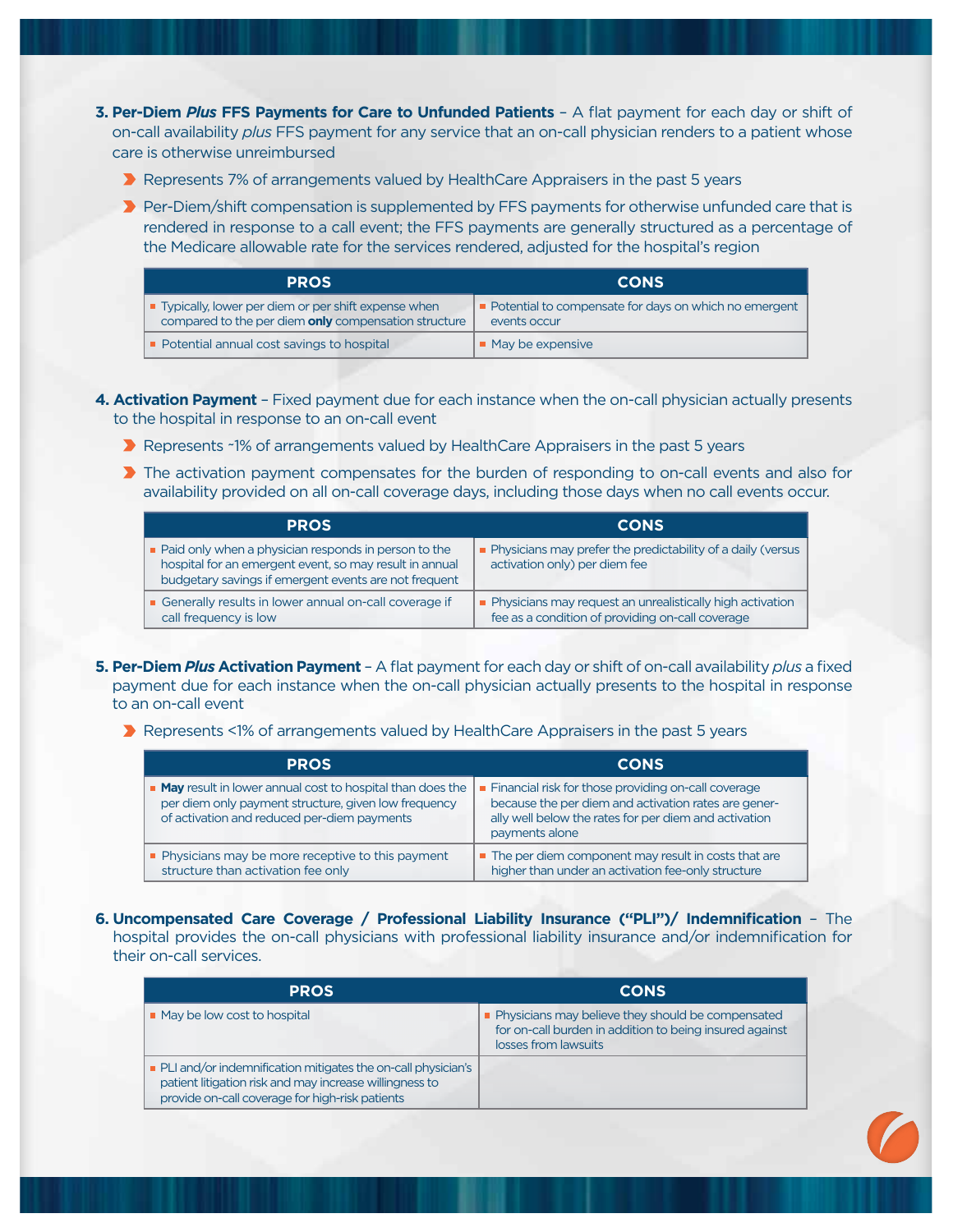- **3. Per-Diem** *Plus* **FFS Payments for Care to Unfunded Patients** A flat payment for each day or shift of on-call availability *plus* FFS payment for any service that an on-call physician renders to a patient whose care is otherwise unreimbursed
	- ▶ Represents 7% of arrangements valued by HealthCare Appraisers in the past 5 years
	- **Per-Diem/shift compensation is supplemented by FFS payments for otherwise unfunded care that is** rendered in response to a call event; the FFS payments are generally structured as a percentage of the Medicare allowable rate for the services rendered, adjusted for the hospital's region

| <b>PROS</b>                                                                                                   | <b>CONS</b>                                                             |
|---------------------------------------------------------------------------------------------------------------|-------------------------------------------------------------------------|
| ■ Typically, lower per diem or per shift expense when<br>compared to the per diem only compensation structure | • Potential to compensate for days on which no emergent<br>events occur |
| • Potential annual cost savings to hospital                                                                   | May be expensive                                                        |

- **4. Activation Payment** Fixed payment due for each instance when the on-call physician actually presents to the hospital in response to an on-call event
	- **A** Represents ~1% of arrangements valued by HealthCare Appraisers in the past 5 years
	- **The activation payment compensates for the burden of responding to on-call events and also for** availability provided on all on-call coverage days, including those days when no call events occur.

| <b>PROS</b>                                                                                                                                                                             | <b>CONS</b>                                                                                                     |
|-----------------------------------------------------------------------------------------------------------------------------------------------------------------------------------------|-----------------------------------------------------------------------------------------------------------------|
| $\blacksquare$ Paid only when a physician responds in person to the<br>hospital for an emergent event, so may result in annual<br>budgetary savings if emergent events are not frequent | • Physicians may prefer the predictability of a daily (versus<br>activation only) per diem fee                  |
| Generally results in lower annual on-call coverage if<br>call frequency is low                                                                                                          | • Physicians may request an unrealistically high activation<br>fee as a condition of providing on-call coverage |

- **5. Per-Diem** *Plus* **Activation Payment**  A flat payment for each day or shift of on-call availability *plus* a fixed payment due for each instance when the on-call physician actually presents to the hospital in response to an on-call event
	- ▶ Represents <1% of arrangements valued by HealthCare Appraisers in the past 5 years

| <b>PROS</b>                                                                                                                                                        | <b>CONS</b>                                                                                                                                                                            |
|--------------------------------------------------------------------------------------------------------------------------------------------------------------------|----------------------------------------------------------------------------------------------------------------------------------------------------------------------------------------|
| ■ May result in lower annual cost to hospital than does the<br>per diem only payment structure, given low frequency<br>of activation and reduced per-diem payments | Financial risk for those providing on-call coverage<br>because the per diem and activation rates are gener-<br>ally well below the rates for per diem and activation<br>payments alone |
| • Physicians may be more receptive to this payment<br>structure than activation fee only                                                                           | • The per diem component may result in costs that are<br>higher than under an activation fee-only structure                                                                            |

**6. Uncompensated Care Coverage / Professional Liability Insurance ("PLI")/ Indemnification** – The hospital provides the on-call physicians with professional liability insurance and/or indemnification for their on-call services.

| <b>PROS</b>                                                                                                                                                                  | <b>CONS</b>                                                                                                                            |
|------------------------------------------------------------------------------------------------------------------------------------------------------------------------------|----------------------------------------------------------------------------------------------------------------------------------------|
| • May be low cost to hospital                                                                                                                                                | • Physicians may believe they should be compensated<br>for on-call burden in addition to being insured against<br>losses from lawsuits |
| • PLI and/or indemnification mitigates the on-call physician's<br>patient litigation risk and may increase willingness to<br>provide on-call coverage for high-risk patients |                                                                                                                                        |